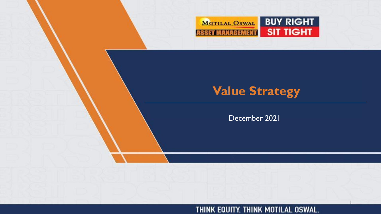

# **Value Strategy**

December 2021

#### THINK EQUITY. THINK MOTILAL OSWAL.

1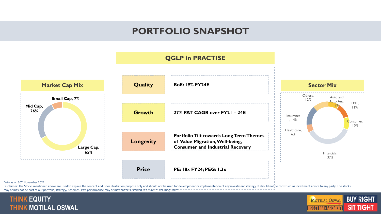### **PORTFOLIO SNAPSHOT**



#### Data as on 30<sup>th</sup> November 2021

Disclaimer: The Stocks mentioned above are used to explain the concept and is for illustration purpose only and should not be used for development or implementation of any investment strategy. It should not be construed as may or may not be part of our portfolio/strategy/ schemes. Past performance may or may not be sustained in future. \* Excluding Bharti



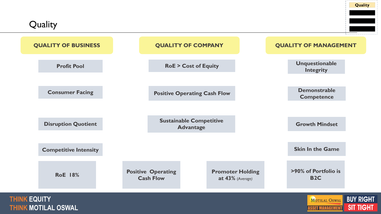**Quality** 

 $\omega = 1$ 

| <b>QUALITY OF BUSINESS</b>                        |                                               | <b>QUALITY OF COMPANY</b>                          | <b>QUALITY OF MANAGEMENT</b>              |                                      |
|---------------------------------------------------|-----------------------------------------------|----------------------------------------------------|-------------------------------------------|--------------------------------------|
| <b>Profit Pool</b>                                |                                               | <b>RoE &gt; Cost of Equity</b>                     | <b>Unquestionable</b><br><b>Integrity</b> |                                      |
| <b>Consumer Facing</b>                            |                                               | <b>Positive Operating Cash Flow</b>                | <b>Demonstrable</b><br><b>Competence</b>  |                                      |
|                                                   |                                               |                                                    |                                           |                                      |
| <b>Disruption Quotient</b>                        |                                               | <b>Sustainable Competitive</b><br><b>Advantage</b> | <b>Growth Mindset</b>                     |                                      |
| <b>Competitive Intensity</b>                      |                                               |                                                    | <b>Skin In the Game</b>                   |                                      |
| <b>RoE</b> 18%                                    | <b>Positive Operating</b><br><b>Cash Flow</b> | <b>Promoter Holding</b><br>at 43% (Average)        | >90% of Portfolio is<br><b>B2C</b>        |                                      |
| <b>THINK EQUITY</b><br><b>THINK MOTILAL OSWAL</b> |                                               |                                                    | <b>MOTILAL OSWAL</b><br>ASSET MANAGEMENT  | <b>BUY RIGHT</b><br><b>SIT TIGHT</b> |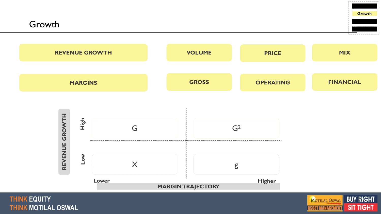Growth





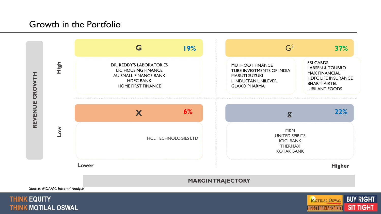### Growth in the Portfolio





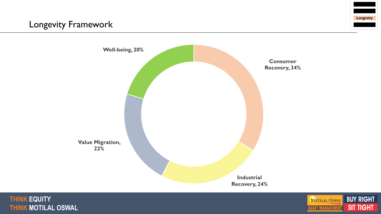





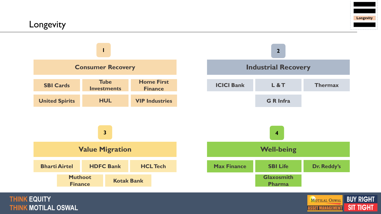



#### **THINK EQUITY THINK MOTILAL OSWAL**

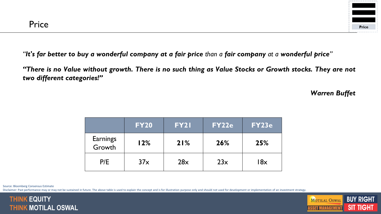

"It's far better to buy a wonderful company at a fair price than a fair company at a wonderful price"

"There is no Value without growth. There is no such thing as Value Stocks or Growth stocks. They are not *two different categories!"*

*Warren Buffet*

|                           | <b>FY20</b> | <b>FY21</b> | <b>FY22e</b> | <b>FY23e</b> |
|---------------------------|-------------|-------------|--------------|--------------|
| <b>Earnings</b><br>Growth | 12%         | 21%         | 26%          | 25%          |
| P/E                       | 37x         | 28x         | 23x          | l8x          |

Source: Bloomberg Consensus Estimate

Disclaimer: Past performance may or may not be sustained in future. The above table is used to explain the concept and is for illustration purpose only and should not used for development or implementation of an investment



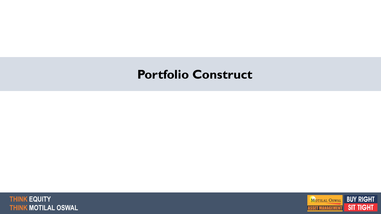# **Portfolio Construct**



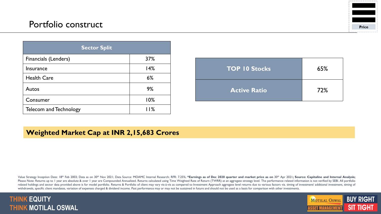### Portfolio construct



| <b>Sector Split</b>           |     |
|-------------------------------|-----|
| Financials (Lenders)          | 37% |
| <b>Insurance</b>              | 14% |
| <b>Health Care</b>            | 6%  |
| Autos                         | 9%  |
| Consumer                      | 10% |
| <b>Telecom and Technology</b> | 11% |

| <b>TOP 10 Stocks</b> | 65% |
|----------------------|-----|
| <b>Active Ratio</b>  | 72% |

#### **Weighted Market Cap at INR 2,15,683 Crores**

Value Strategy Inception Date: 18th Feb 2003; Data as on 30th Nov 2021; Data Source: MOAMC Internal Research; RFR: 7.25%; \*Earnings as of Dec 2020 quarter and market price as on 30th Apr 2021; Source: Capitaline and Intern Please Note: Returns up to I year are absolute & over I year are Compounded Annualized. Returns calculated using Time Weighted Rate of Return (TWRR) at an aggregate strategy level. The performance related information is no related holdings and sector data provided above is for model portfolio. Returns & Portfolio of client may vary vis-à-vis as compared to Investment Approach aggregate level returns due to various factors viz. timing of inve withdrawals, specific client mandates, variation of expenses charged & dividend income. Past performance may or may not be sustained in future and should not be used as a basis for comparison with other investments.



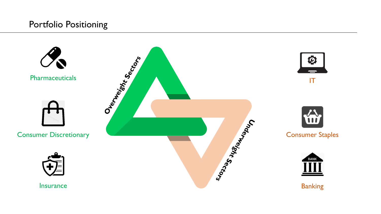### Portfolio Positioning

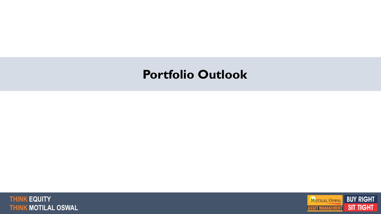# **Portfolio Outlook**



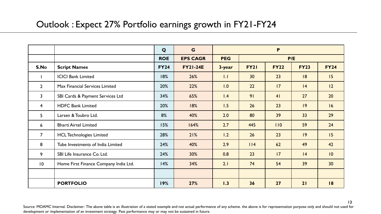### Outlook : Expect 27% Portfolio earnings growth in FY21-FY24

|                 |                                       | Q           | G               | P          |             |             |             |             |
|-----------------|---------------------------------------|-------------|-----------------|------------|-------------|-------------|-------------|-------------|
|                 |                                       | <b>ROE</b>  | <b>EPS CAGR</b> | <b>PEG</b> |             |             | P/E         |             |
| S.No            | <b>Script Names</b>                   | <b>FY24</b> | <b>FY21-24E</b> | 3-year     | <b>FY21</b> | <b>FY22</b> | <b>FY23</b> | <b>FY24</b> |
|                 | <b>ICICI Bank Limited</b>             | 18%         | 26%             | 1.1        | 30          | 23          | 8           | 15          |
| $\overline{2}$  | Max Financial Services Limited        | 20%         | 22%             | 1.0        | 22          | 17          | 4           | 12          |
| $\overline{3}$  | SBI Cards & Payment Services Ltd      | 34%         | 65%             | 1.4        | 91          | 41          | 27          | 20          |
| $\overline{4}$  | <b>HDFC Bank Limited</b>              | 20%         | 18%             | 1.5        | 26          | 23          | 9           | 16          |
| 5 <sup>1</sup>  | Larsen & Toubro Ltd.                  | 8%          | 40%             | 2.0        | 80          | 39          | 33          | 29          |
| $6\overline{6}$ | <b>Bharti Airtel Limited</b>          | 15%         | 164%            | 2.7        | 445         | 110         | 59          | 24          |
| $\overline{7}$  | <b>HCL Technologies Limited</b>       | 28%         | 21%             | 1.2        | 26          | 23          | 9           | 15          |
| 8               | Tube Investments of India Limited     | 24%         | 40%             | 2.9        | $ $   4     | 62          | 49          | 42          |
| 9               | SBI Life Insurance Co. Ltd.           | 24%         | 30%             | 0.8        | 23          | 17          | 4           | 10          |
| $\overline{10}$ | Home First Finance Company India Ltd. | 14%         | 34%             | 2.1        | 74          | 54          | 39          | 30          |
|                 |                                       |             |                 |            |             |             |             |             |
|                 | <b>PORTFOLIO</b>                      | 19%         | 27%             | 1.3        | 36          | 27          | 21          | 18          |

Source: MOAMC Internal. Disclaimer: The above table is an illustration of a stated example and not actual performance of any scheme. the above is for representation purpose only and should not used for development or implementation of an investment strategy. Past performance may or may not be sustained in future.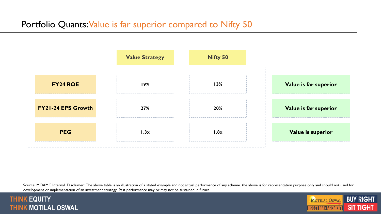### Portfolio Quants: Value is far superior compared to Nifty 50



Source: MOAMC Internal. Disclaimer: The above table is an illustration of a stated example and not actual performance of any scheme. the above is for representation purpose only and should not used for development or implementation of an investment strategy. Past performance may or may not be sustained in future.

#### **THINK EQUITY THINK MOTILAL OSWAL**

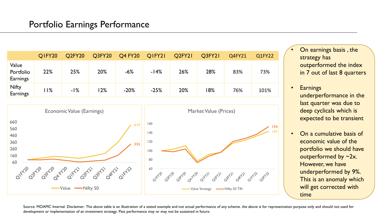### Portfolio Earnings Performance

|                                | QIFY20 | Q2FY20 | Q3FY20 | <b>Q4 FY20</b> | QIFY21 | Q2FY21 | Q3FY21 | Q4FY21 | Q1FY22 |
|--------------------------------|--------|--------|--------|----------------|--------|--------|--------|--------|--------|
| Value<br>Portfolio<br>Earnings | 22%    | 25%    | 20%    | $-6%$          | $-14%$ | 26%    | 28%    | 83%    | 73%    |
| Nifty<br>Earnings              | 11%    | $-1%$  | 12%    | $-20%$         | $-25%$ | 20%    | 8%     | 76%    | 101%   |



- On earnings basis , the strategy has outperformed the index in 7 out of last 8 quarters
- Earnings underperformance in the last quarter was due to deep cyclicals which is expected to be transient
- On a cumulative basis of economic value of the portfolio we should have outperformed by ~2x. However, we have underperformed by 9%. This is an anomaly which will get corrected with time

Source: MOAMC Internal. Disclaimer: The above table is an illustration of a stated example and not actual performance of any scheme. the above is for representation purpose only and should not used for development or implementation of an investment strategy. Past performance may or may not be sustained in future.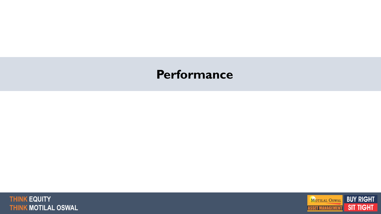# **Performance**



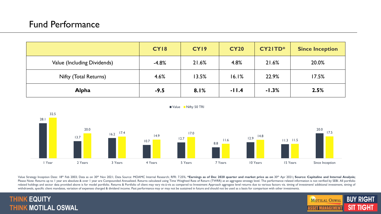|                             | CY18    | CY19  | <b>CY20</b> | CY21TD* | <b>Since Inception</b> |
|-----------------------------|---------|-------|-------------|---------|------------------------|
| Value (Including Dividends) | $-4.8%$ | 21.6% | 4.8%        | 21.6%   | 20.0%                  |
| Nifty (Total Returns)       | 4.6%    | 13.5% | 16.1%       | 22.9%   | 17.5%                  |
| <b>Alpha</b>                | $-9.5$  | 8.1%  | $-11.4$     | $-1.3%$ | 2.5%                   |



Value Strategy Inception Date: 18th Feb 2003; Data as on 30th Nov 2021; Data Source: MOAMC Internal Research; RFR: 7.25%; \*Earnings as of Dec 2020 quarter and market price as on 30th Apr 2021; Source: Capitaline and Intern Please Note: Returns up to I year are absolute & over I year are Compounded Annualized. Returns calculated using Time Weighted Rate of Return (TWRR) at an aggregate strategy level. The performance related information is no related holdings and sector data provided above is for model portfolio. Returns & Portfolio of client may vary vis-à-vis as compared to Investment Approach aggregate level returns due to various factors viz. timing of inve withdrawals, specific client mandates, variation of expenses charged & dividend income. Past performance may or may not be sustained in future and should not be used as a basis for comparison with other investments.

#### <sup>18</sup> **THINK EQUITY THINK MOTILAL OSWAL**

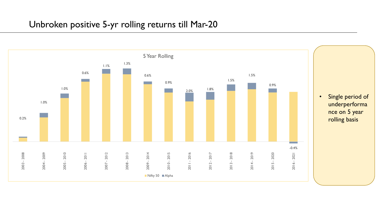### Unbroken positive 5-yr rolling returns till Mar-20

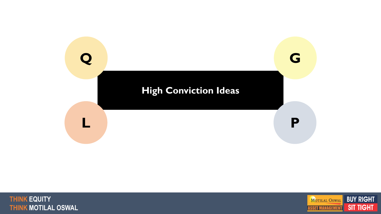



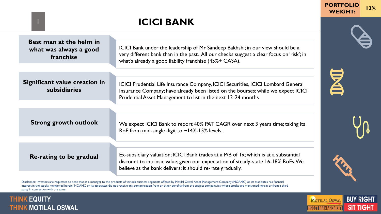## **ICICI BANK**

| Best man at the helm in<br>what was always a good<br>franchise | ICICI Bank under the leadership of Mr Sandeep Bakhshi; in our view should be a<br>very different bank than in the past. All our checks suggest a clear focus on 'risk'; in<br>what's already a good liability franchise (45%+ CASA).     |
|----------------------------------------------------------------|------------------------------------------------------------------------------------------------------------------------------------------------------------------------------------------------------------------------------------------|
| Significant value creation in<br><b>subsidiaries</b>           | ICICI Prudential Life Insurance Company, ICICI Securities, ICICI Lombard General<br>Insurance Company; have already been listed on the bourses; while we expect ICICI<br>Prudential Asset Management to list in the next 12-24 months    |
| <b>Strong growth outlook</b>                                   | We expect ICICI Bank to report 40% PAT CAGR over next 3 years time; taking its<br>RoE from mid-single digit to $\sim$ 14%-15% levels.                                                                                                    |
| Re-rating to be gradual                                        | Ex-subsidiary valuation; ICICI Bank trades at a P/B of 1x; which is at a substantial<br>discount to intrinsic value; given our expectation of steady-state 16-18% RoEs. We<br>believe as the bank delivers; it should re-rate gradually. |

Disclaimer: Investors are requested to note that as a manager to the products of various business segments offered by Motilal Oswal Asset Management Company (MOAMC) or its associates has financial interest in the stocks mentioned herein. MOAMC or its associates did not receive any compensation from or other benefits from the subject company/ies whose stocks are mentioned herein or from a third party in connection with the same

#### **THINK EQUITY AND RESIDENT REPORT OF A SERVICE OF A SERVICE OF A SERVICE OF A SERVICE OF A SERVICE OF A SERVICE** stocks may or may not be part of our portfolio/strategy/ schemes. Past performance may or may not be sustained in future Private and Confidential <sup>18</sup> **THINK EQUITY THINK MOTILAL OSWAL**

1



**WEIGHT: 12%**

**PORTFOLIO**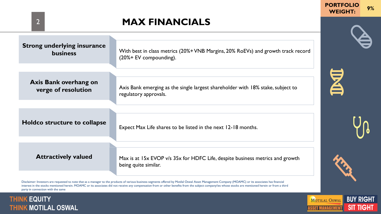## **MAX FINANCIALS**

| <b>Strong underlying insurance</b> | With best in class metrics (20%+ VNB Margins, 20% RoEVs) and growth track record                      |
|------------------------------------|-------------------------------------------------------------------------------------------------------|
| <b>business</b>                    | $(20% + EV$ compounding).                                                                             |
| Axis Bank overhang on              | Axis Bank emerging as the single largest shareholder with 18% stake, subject to                       |
| verge of resolution                | regulatory approvals.                                                                                 |
| Holdco structure to collapse       | Expect Max Life shares to be listed in the next 12-18 months.                                         |
| <b>Attractively valued</b>         | Max is at 15x EVOP v/s 35x for HDFC Life, despite business metrics and growth<br>being quite similar. |

Disclaimer: Investors are requested to note that as a manager to the products of various business segments offered by Motilal Oswal Asset Management Company (MOAMC) or its associates has financial interest in the stocks mentioned herein. MOAMC or its associates did not receive any compensation from or other benefits from the subject company/ies whose stocks are mentioned herein or from a third party in connection with the same

#### **THINK EQUITY AND RESIDENT REPORT OF A SERVICE OF A SERVICE OF A SERVICE OF A SERVICE OF A SERVICE OF A SERVICE** stocks may or may not be part of our portfolio/strategy/ schemes. Past performance may or may not be sustained in future Private and Confidential <sup>18</sup> **THINK EQUITY THINK MOTILAL OSWAL**



**PORTFOLIO** 

E

2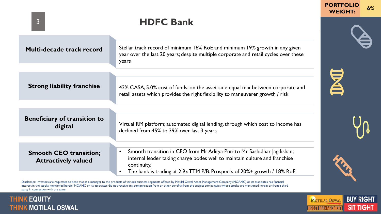### **HDFC Bank** 3 **Multi-decade track record** Stellar track record of minimum 16% RoE and minimum 19% growth in any given year over the last 20 years; despite multiple corporate and retail cycles over these years KI **Strong liability franchise** 42% CASA, 5.0% cost of funds; on the asset side equal mix between corporate and retail assets which provides the right flexibility to maneuverer growth / risk **Beneficiary of transition to**  digital **Virtual RM** platform; automated digital lending, through which cost to income has declined from 45% to 39% over last 3 years • Smooth transition in CEO from Mr Aditya Puri to Mr Sashidhar Jagdishan; **Smooth CEO transition;**  internal leader taking charge bodes well to maintain culture and franchise **Attractively valued** continuity. • The bank is trading at 2.9x TTM P/B. Prospects of 20%+ growth / 18% RoE.

Disclaimer: Investors are requested to note that as a manager to the products of various business segments offered by Motilal Oswal Asset Management Company (MOAMC) or its associates has financial interest in the stocks mentioned herein. MOAMC or its associates did not receive any compensation from or other benefits from the subject company/ies whose stocks are mentioned herein or from a third party in connection with the same

#### <u>i inin Ewull isabel ay karatan isang karatang karatang nagarang karatang nagarang karatang karatang karatang k</u> stocks may or may not be part of our portfolio/strategy/ schemes. Past performance may or may not be sustained in future Private and Confidential <sup>18</sup> **THINK EQUITY THINK MOTILAL OSWAL**



**WEIGHT: 6%**

**PORTFOLIO**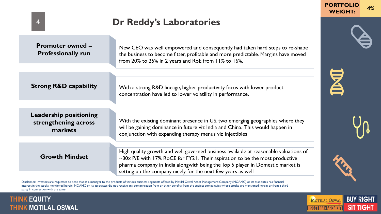| <b>Promoter owned –</b><br><b>Professionally run</b>             | New CEO was well empowered and consequently had taken hard steps to re-shape<br>the business to become fitter, profitable and more predictable. Margins have moved<br>from 20% to 25% in 2 years and RoE from 11% to 16%.                                   |
|------------------------------------------------------------------|-------------------------------------------------------------------------------------------------------------------------------------------------------------------------------------------------------------------------------------------------------------|
|                                                                  |                                                                                                                                                                                                                                                             |
| <b>Strong R&amp;D capability</b>                                 | With a strong R&D lineage, higher productivity focus with lower product<br>concentration have led to lower volatility in performance.                                                                                                                       |
|                                                                  |                                                                                                                                                                                                                                                             |
| <b>Leadership positioning</b><br>strengthening across<br>markets | With the existing dominant presence in US, two emerging geographies where they<br>will be gaining dominance in future viz India and China. This would happen in<br>conjunction with expanding therapy menus viz Injectibles                                 |
|                                                                  |                                                                                                                                                                                                                                                             |
| <b>Growth Mindset</b>                                            | High quality growth and well governed business available at reasonable valuations of<br>$\sim$ 30x P/E with 17% RoCE for FY21. Their aspiration to be the most productive<br>pharma company in India alongwith being the Top 5 player in Domestic market is |
|                                                                  | setting up the company nicely for the next few years as well                                                                                                                                                                                                |

Disclaimer: Investors are requested to note that as a manager to the products of various business segments offered by Motilal Oswal Asset Management Company (MOAMC) or its associates has financial interest in the stocks mentioned herein. MOAMC or its associates did not receive any compensation from or other benefits from the subject company/ies whose stocks are mentioned herein or from a third party in connection with the same

#### **THINK EQUITY AND RESIDENT CONTROL** stocks may or may not be part of our portfolio/strategy/ schemes. Past performance may or may not be sustained in future Private and Confidential <sup>18</sup> **THINK EQUITY THINK MOTILAL OSWAL**

4



**PORTFOLIO**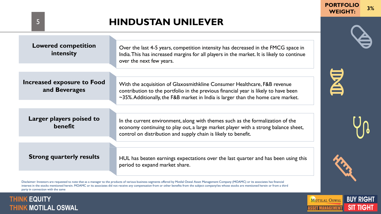## **HINDUSTAN UNILEVER**

| <b>Lowered competition</b><br>intensity     | Over the last 4-5 years, competition intensity has decreased in the FMCG space in<br>India. This has increased margins for all players in the market. It is likely to continue<br>over the next few years.                                                |
|---------------------------------------------|-----------------------------------------------------------------------------------------------------------------------------------------------------------------------------------------------------------------------------------------------------------|
| Increased exposure to Food<br>and Beverages | With the acquisition of Glaxosmithkline Consumer Healthcare, F&B revenue<br>contribution to the portfolio in the previous financial year is likely to have been<br>$\sim$ 35%. Additionally, the F&B market in India is larger than the home care market. |
| Larger players poised to<br>benefit         | In the current environment, along with themes such as the formalization of the<br>economy continuing to play out, a large market player with a strong balance sheet,<br>control on distribution and supply chain is likely to benefit.                    |
| <b>Strong quarterly results</b>             | HUL has beaten earnings expectations over the last quarter and has been using this<br>period to expand market share.                                                                                                                                      |

Disclaimer: Investors are requested to note that as a manager to the products of various business segments offered by Motilal Oswal Asset Management Company (MOAMC) or its associates has financial interest in the stocks mentioned herein. MOAMC or its associates did not receive any compensation from or other benefits from the subject company/ies whose stocks are mentioned herein or from a third party in connection with the same

#### **THINK EQUITY AND RESIDENT CONTROL** stocks may or may not be part of our portfolio/strategy/ schemes. Past performance may or may not be sustained in future Private and Confidential <sup>18</sup> **THINK EQUITY THINK MOTILAL OSWAL**



**PORTFOLIO** 

区

5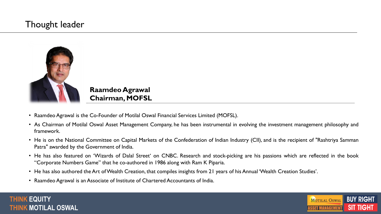### Thought leader



**Raamdeo Agrawal Chairman, MOFSL**

- Raamdeo Agrawal is the Co-Founder of Motilal Oswal Financial Services Limited (MOFSL).
- As Chairman of Motilal Oswal Asset Management Company, he has been instrumental in evolving the investment management philosophy and framework.
- He is on the National Committee on Capital Markets of the Confederation of Indian Industry (CII), and is the recipient of "Rashtriya Samman Patra" awarded by the Government of India.
- He has also featured on 'Wizards of Dalal Street' on CNBC. Research and stock-picking are his passions which are reflected in the book "Corporate Numbers Game" that he co-authored in 1986 along with Ram K Piparia.
- He has also authored the Art ofWealth Creation, that compiles insights from 21 years of his Annual 'Wealth Creation Studies'.
- Raamdeo Agrawal is an Associate of Institute of Chartered Accountants of India.



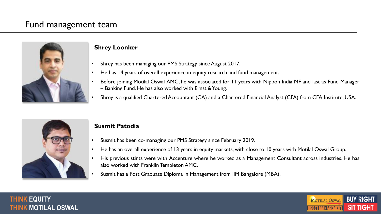### Fund management team



#### **Shrey Loonker**

- Shrey has been managing our PMS Strategy since August 2017.
- He has 14 years of overall experience in equity research and fund management.
- Before joining Motilal Oswal AMC, he was associated for 11 years with Nippon India MF and last as Fund Manager – Banking Fund. He has also worked with Ernst & Young.
- Shrey is a qualified Chartered Accountant (CA) and a Chartered Financial Analyst (CFA) from CFA Institute, USA.



#### **Susmit Patodia**

- Susmit has been co-managing our PMS Strategy since February 2019.
- He has an overall experience of 13 years in equity markets, with close to 10 years with Motilal Oswal Group.
- His previous stints were with Accenture where he worked as a Management Consultant across industries. He has also worked with Franklin TempletonAMC.
- Susmit has a Post Graduate Diploma in Management from IIM Bangalore (MBA).



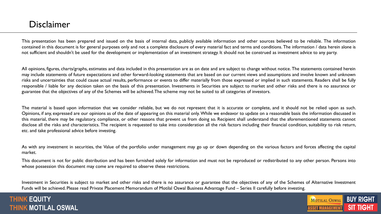### Disclaimer

This presentation has been prepared and issued on the basis of internal data, publicly available information and other sources believed to be reliable. The information contained in this document is for general purposes only and not a complete disclosure of every material fact and terms and conditions. The information / data herein alone is not sufficient and shouldn't be used for the development or implementation of an investment strategy. It should not be construed as investment advice to any party.

All opinions, figures, charts/graphs, estimates and data included in this presentation are as on date and are subject to change without notice. The statements contained herein may include statements of future expectations and other forward-looking statements that are based on our current views and assumptions and involve known and unknown risks and uncertainties that could cause actual results, performance or events to differ materially from those expressed or implied in such statements. Readers shall be fully responsible / liable for any decision taken on the basis of this presentation. Investments in Securities are subject to market and other risks and there is no assurance or guarantee that the objectives of any of the Schemes will be achieved.The scheme may not be suited to all categories of investors.

The material is based upon information that we consider reliable, but we do not represent that it is accurate or complete, and it should not be relied upon as such. Opinions, if any, expressed are our opinions as of the date of appearing on this material only. While we endeavor to update on a reasonable basis the information discussed in this material, there may be regulatory, compliance, or other reasons that prevent us from doing so. Recipient shall understand that the aforementioned statements cannot disclose all the risks and characteristics. The recipient is requested to take into consideration all the risk factors including their financial condition, suitability to risk return, etc. and take professional advice before investing.

As with any investment in securities, the Value of the portfolio under management may go up or down depending on the various factors and forces affecting the capital market.

This document is not for public distribution and has been furnished solely for information and must not be reproduced or redistributed to any other person. Persons into whose possession this document may come are required to observe these restrictions.

Investment in Securities is subject to market and other risks and there is no assurance or guarantee that the objectives of any of the Schemes of Alternative Investment Funds will be achieved. Please read Private Placement Memorandum of Motilal Oswal Business Advantage Fund – Series II carefully before investing.

#### <sup>18</sup> **THINK EQUITY THINK MOTILAL OSWAL**